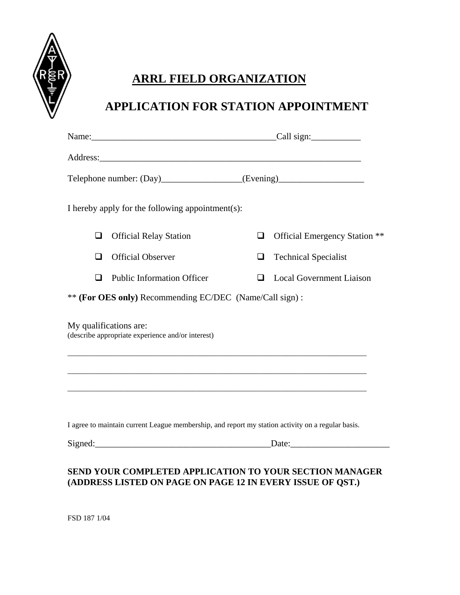

## **ARRL FIELD ORGANIZATION**

## **APPLICATION FOR STATION APPOINTMENT**

| Telephone number: (Day)_________________(Evening)_______________________________                  |                                   |        |                                                         |  |
|---------------------------------------------------------------------------------------------------|-----------------------------------|--------|---------------------------------------------------------|--|
| I hereby apply for the following appointment(s):                                                  |                                   |        |                                                         |  |
| □                                                                                                 | <b>Official Relay Station</b>     | □      | Official Emergency Station **                           |  |
| □                                                                                                 | <b>Official Observer</b>          | $\Box$ | <b>Technical Specialist</b>                             |  |
| □                                                                                                 | <b>Public Information Officer</b> | $\Box$ | <b>Local Government Liaison</b>                         |  |
| ** (For OES only) Recommending EC/DEC (Name/Call sign):                                           |                                   |        |                                                         |  |
| My qualifications are:<br>(describe appropriate experience and/or interest)                       |                                   |        |                                                         |  |
|                                                                                                   |                                   |        |                                                         |  |
|                                                                                                   |                                   |        |                                                         |  |
|                                                                                                   |                                   |        |                                                         |  |
| I agree to maintain current League membership, and report my station activity on a regular basis. |                                   |        |                                                         |  |
|                                                                                                   |                                   |        | Date: $\sqrt{\frac{1}{2} \sum_{k=1}^{n} (x_k - x_k)^2}$ |  |
|                                                                                                   |                                   |        |                                                         |  |

## **SEND YOUR COMPLETED APPLICATION TO YOUR SECTION MANAGER (ADDRESS LISTED ON PAGE ON PAGE 12 IN EVERY ISSUE OF QST.)**

FSD 187 1/04